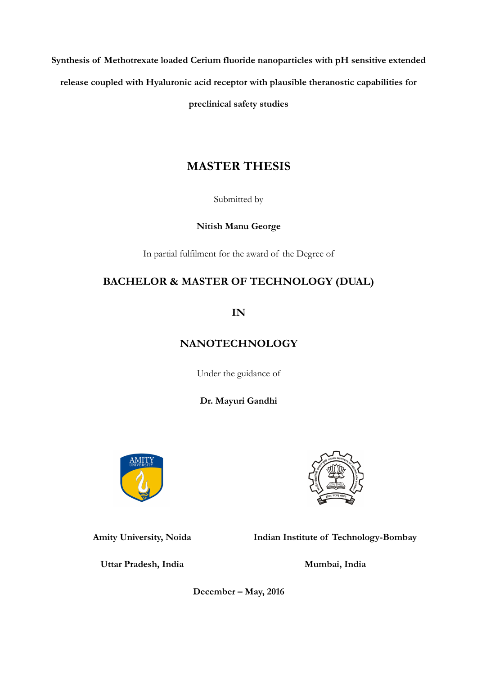**Synthesis of Methotrexate loaded Cerium fluoride nanoparticles with pH sensitive extended release coupled with Hyaluronic acid receptor with plausible theranostic capabilities for preclinical safety studies**

# **MASTER THESIS**

Submitted by

**Nitish Manu George**

In partial fulfilment for the award of the Degree of

# **BACHELOR & MASTER OF TECHNOLOGY (DUAL)**

**IN**

# **NANOTECHNOLOGY**

Under the guidance of

**Dr. Mayuri Gandhi**





**Indian Institute of Technology-Bombay**

**Uttar Pradesh, India**

**Amity University, Noida**

**Mumbai, India**

**December – May, 2016**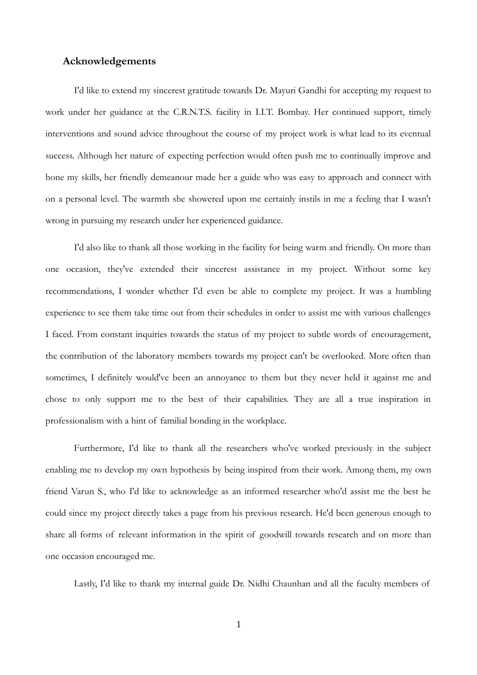# <span id="page-1-0"></span>**Acknowledgements**

I'd like to extend my sincerest gratitude towards Dr. Mayuri Gandhi for accepting my request to work under her guidance at the C.R.N.T.S. facility in I.I.T. Bombay. Her continued support, timely interventions and sound advice throughout the course of my project work is what lead to its eventual success. Although her nature of expecting perfection would often push me to continually improve and hone my skills, her friendly demeanour made her a guide who was easy to approach and connect with on a personal level. The warmth she showered upon me certainly instils in me a feeling that I wasn't wrong in pursuing my research under her experienced guidance.

I'd also like to thank all those working in the facility for being warm and friendly. On more than one occasion, they've extended their sincerest assistance in my project. Without some key recommendations, I wonder whether I'd even be able to complete my project. It was a humbling experience to see them take time out from their schedules in order to assist me with various challenges I faced. From constant inquiries towards the status of my project to subtle words of encouragement, the contribution of the laboratory members towards my project can't be overlooked. More often than sometimes, I definitely would've been an annoyance to them but they never held it against me and chose to only support me to the best of their capabilities. They are all a true inspiration in professionalism with a hint of familial bonding in the workplace.

Furthermore, I'd like to thank all the researchers who've worked previously in the subject enabling me to develop my own hypothesis by being inspired from their work. Among them, my own friend Varun S., who I'd like to acknowledge as an informed researcher who'd assist me the best he could since my project directly takes a page from his previous research. He'd been generous enough to share all forms of relevant information in the spirit of goodwill towards research and on more than one occasion encouraged me.

Lastly, I'd like to thank my internal guide Dr. Nidhi Chaunhan and all the faculty members of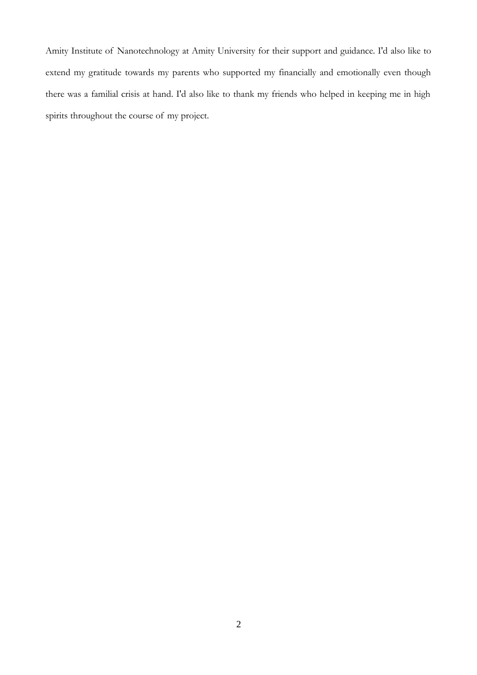Amity Institute of Nanotechnology at Amity University for their support and guidance. I'd also like to extend my gratitude towards my parents who supported my financially and emotionally even though there was a familial crisis at hand. I'd also like to thank my friends who helped in keeping me in high spirits throughout the course of my project.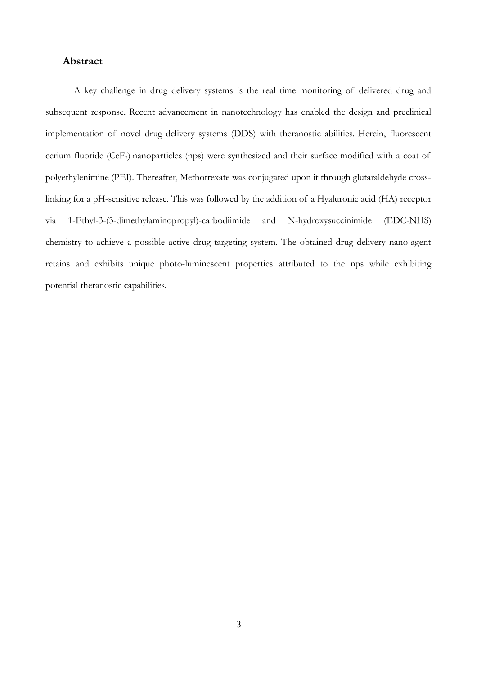# <span id="page-3-0"></span>**Abstract**

A key challenge in drug delivery systems is the real time monitoring of delivered drug and subsequent response. Recent advancement in nanotechnology has enabled the design and preclinical implementation of novel drug delivery systems (DDS) with theranostic abilities. Herein, fluorescent cerium fluoride (CeF3) nanoparticles (nps) were synthesized and their surface modified with a coat of polyethylenimine (PEI). Thereafter, Methotrexate was conjugated upon it through glutaraldehyde crosslinking for a pH-sensitive release. This was followed by the addition of a Hyaluronic acid (HA) receptor via 1-Ethyl-3-(3-dimethylaminopropyl)-carbodiimide and N-hydroxysuccinimide (EDC-NHS) chemistry to achieve a possible active drug targeting system. The obtained drug delivery nano-agent retains and exhibits unique photo-luminescent properties attributed to the nps while exhibiting potential theranostic capabilities.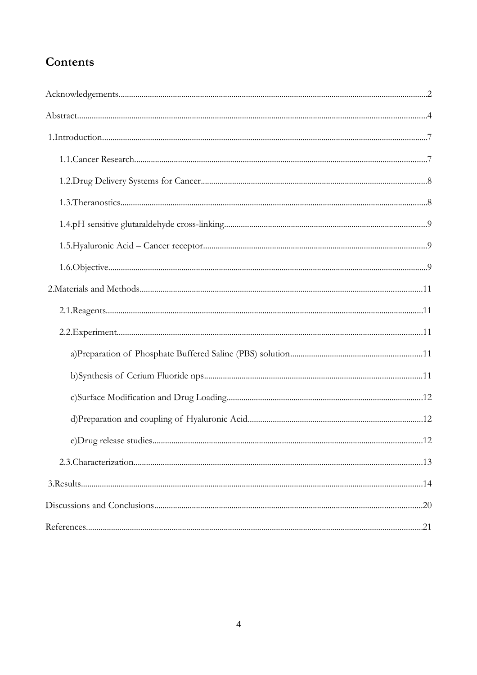# Contents

| .21 |
|-----|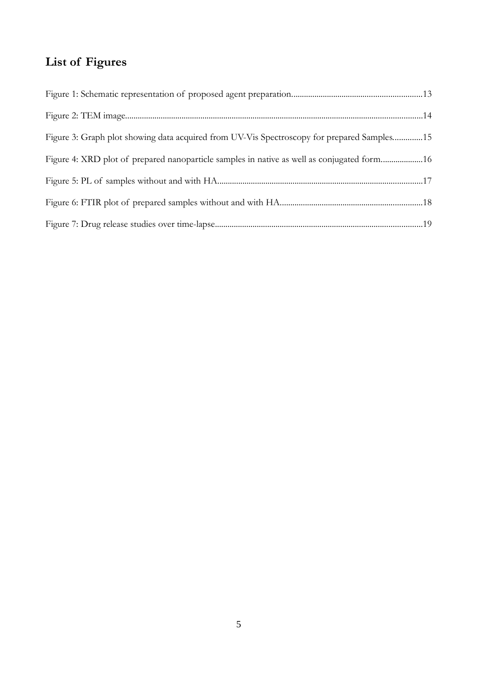# **List of Figures**

| Figure 3: Graph plot showing data acquired from UV-Vis Spectroscopy for prepared Samples15 |  |
|--------------------------------------------------------------------------------------------|--|
| Figure 4: XRD plot of prepared nanoparticle samples in native as well as conjugated form16 |  |
|                                                                                            |  |
|                                                                                            |  |
|                                                                                            |  |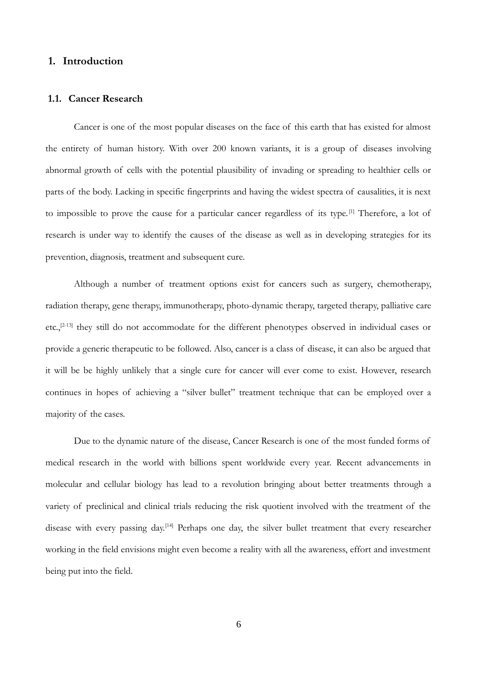# <span id="page-6-1"></span> **1. Introduction**

#### <span id="page-6-0"></span> **1.1. Cancer Research**

Cancer is one of the most popular diseases on the face of this earth that has existed for almost the entirety of human history. With over 200 known variants, it is a group of diseases involving abnormal growth of cells with the potential plausibility of invading or spreading to healthier cells or parts of the body. Lacking in specific fingerprints and having the widest spectra of causalities, it is next to impossible to prove the cause for a particular cancer regardless of its type. [1] Therefore, a lot of research is under way to identify the causes of the disease as well as in developing strategies for its prevention, diagnosis, treatment and subsequent cure.

Although a number of treatment options exist for cancers such as surgery, chemotherapy, radiation therapy, gene therapy, immunotherapy, photo-dynamic therapy, targeted therapy, palliative care etc.,<sup>[2-13]</sup> they still do not accommodate for the different phenotypes observed in individual cases or provide a generic therapeutic to be followed. Also, cancer is a class of disease, it can also be argued that it will be be highly unlikely that a single cure for cancer will ever come to exist. However, research continues in hopes of achieving a "silver bullet" treatment technique that can be employed over a majority of the cases.

Due to the dynamic nature of the disease, Cancer Research is one of the most funded forms of medical research in the world with billions spent worldwide every year. Recent advancements in molecular and cellular biology has lead to a revolution bringing about better treatments through a variety of preclinical and clinical trials reducing the risk quotient involved with the treatment of the disease with every passing day.<sup>[14]</sup> Perhaps one day, the silver bullet treatment that every researcher working in the field envisions might even become a reality with all the awareness, effort and investment being put into the field.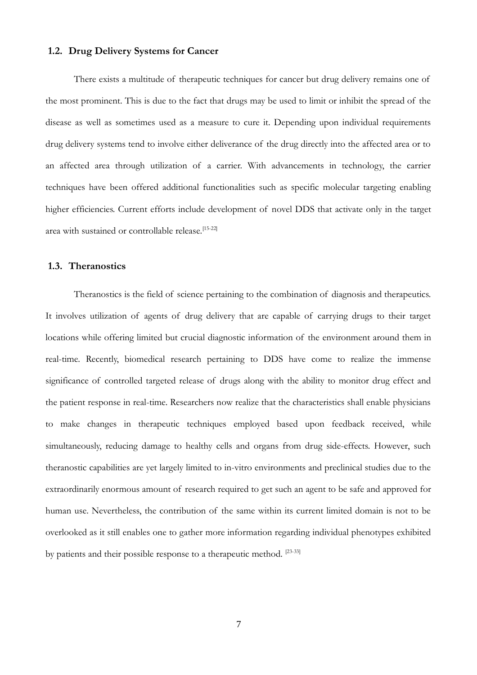#### <span id="page-7-1"></span> **1.2. Drug Delivery Systems for Cancer**

There exists a multitude of therapeutic techniques for cancer but drug delivery remains one of the most prominent. This is due to the fact that drugs may be used to limit or inhibit the spread of the disease as well as sometimes used as a measure to cure it. Depending upon individual requirements drug delivery systems tend to involve either deliverance of the drug directly into the affected area or to an affected area through utilization of a carrier. With advancements in technology, the carrier techniques have been offered additional functionalities such as specific molecular targeting enabling higher efficiencies. Current efforts include development of novel DDS that activate only in the target area with sustained or controllable release.<sup>[15-22]</sup>

#### <span id="page-7-0"></span> **1.3. Theranostics**

Theranostics is the field of science pertaining to the combination of diagnosis and therapeutics. It involves utilization of agents of drug delivery that are capable of carrying drugs to their target locations while offering limited but crucial diagnostic information of the environment around them in real-time. Recently, biomedical research pertaining to DDS have come to realize the immense significance of controlled targeted release of drugs along with the ability to monitor drug effect and the patient response in real-time. Researchers now realize that the characteristics shall enable physicians to make changes in therapeutic techniques employed based upon feedback received, while simultaneously, reducing damage to healthy cells and organs from drug side-effects. However, such theranostic capabilities are yet largely limited to in-vitro environments and preclinical studies due to the extraordinarily enormous amount of research required to get such an agent to be safe and approved for human use. Nevertheless, the contribution of the same within its current limited domain is not to be overlooked as it still enables one to gather more information regarding individual phenotypes exhibited by patients and their possible response to a therapeutic method. [23-33]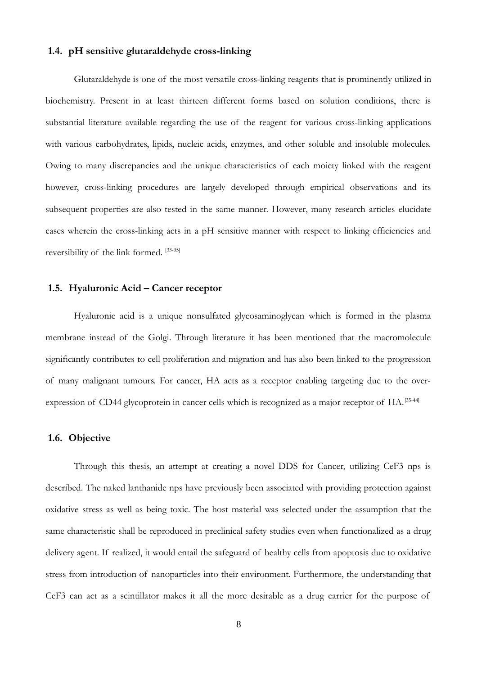## <span id="page-8-2"></span> **1.4. pH sensitive glutaraldehyde cross-linking**

Glutaraldehyde is one of the most versatile cross-linking reagents that is prominently utilized in biochemistry. Present in at least thirteen different forms based on solution conditions, there is substantial literature available regarding the use of the reagent for various cross-linking applications with various carbohydrates, lipids, nucleic acids, enzymes, and other soluble and insoluble molecules. Owing to many discrepancies and the unique characteristics of each moiety linked with the reagent however, cross-linking procedures are largely developed through empirical observations and its subsequent properties are also tested in the same manner. However, many research articles elucidate cases wherein the cross-linking acts in a pH sensitive manner with respect to linking efficiencies and reversibility of the link formed. [33-35]

#### <span id="page-8-1"></span> **1.5. Hyaluronic Acid – Cancer receptor**

Hyaluronic acid is a unique nonsulfated glycosaminoglycan which is formed in the plasma membrane instead of the Golgi. Through literature it has been mentioned that the macromolecule significantly contributes to cell proliferation and migration and has also been linked to the progression of many malignant tumours. For cancer, HA acts as a receptor enabling targeting due to the overexpression of CD44 glycoprotein in cancer cells which is recognized as a major receptor of HA.<sup>[35-44]</sup>

## <span id="page-8-0"></span> **1.6. Objective**

Through this thesis, an attempt at creating a novel DDS for Cancer, utilizing CeF3 nps is described. The naked lanthanide nps have previously been associated with providing protection against oxidative stress as well as being toxic. The host material was selected under the assumption that the same characteristic shall be reproduced in preclinical safety studies even when functionalized as a drug delivery agent. If realized, it would entail the safeguard of healthy cells from apoptosis due to oxidative stress from introduction of nanoparticles into their environment. Furthermore, the understanding that CeF3 can act as a scintillator makes it all the more desirable as a drug carrier for the purpose of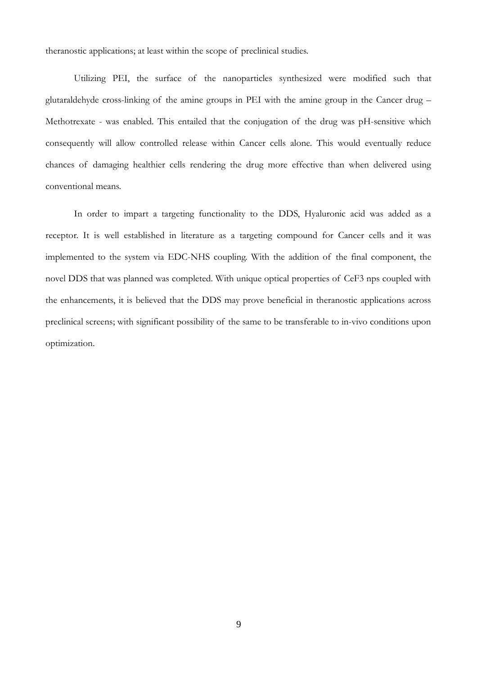theranostic applications; at least within the scope of preclinical studies.

Utilizing PEI, the surface of the nanoparticles synthesized were modified such that glutaraldehyde cross-linking of the amine groups in PEI with the amine group in the Cancer drug – Methotrexate - was enabled. This entailed that the conjugation of the drug was pH-sensitive which consequently will allow controlled release within Cancer cells alone. This would eventually reduce chances of damaging healthier cells rendering the drug more effective than when delivered using conventional means.

In order to impart a targeting functionality to the DDS, Hyaluronic acid was added as a receptor. It is well established in literature as a targeting compound for Cancer cells and it was implemented to the system via EDC-NHS coupling. With the addition of the final component, the novel DDS that was planned was completed. With unique optical properties of CeF3 nps coupled with the enhancements, it is believed that the DDS may prove beneficial in theranostic applications across preclinical screens; with significant possibility of the same to be transferable to in-vivo conditions upon optimization.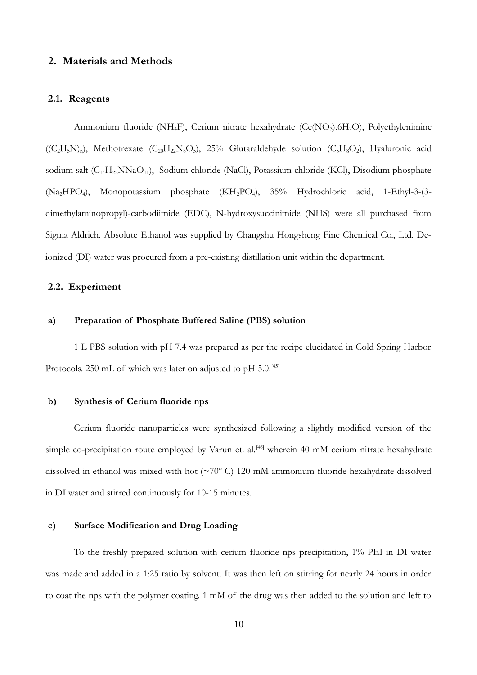# <span id="page-10-5"></span> **2. Materials and Methods**

#### <span id="page-10-4"></span> **2.1. Reagents**

Ammonium fluoride (NH<sub>4</sub>F), Cerium nitrate hexahydrate (Ce(NO<sub>3</sub>).6H<sub>2</sub>O), Polyethylenimine  $((C<sub>2</sub>H<sub>5</sub>N)<sub>n</sub>)$ , Methotrexate  $(C<sub>20</sub>H<sub>22</sub>N<sub>8</sub>O<sub>5</sub>)$ ,  $25%$  Glutaraldehyde solution  $(C<sub>5</sub>H<sub>8</sub>O<sub>2</sub>)$ , Hyaluronic acid sodium salt (C<sub>14</sub>H<sub>22</sub>NNaO<sub>11</sub>), Sodium chloride (NaCl), Potassium chloride (KCl), Disodium phosphate (Na2HPO4), Monopotassium phosphate (KH2PO4), 35% Hydrochloric acid, 1-Ethyl-3-(3 dimethylaminopropyl)-carbodiimide (EDC), N-hydroxysuccinimide (NHS) were all purchased from Sigma Aldrich. Absolute Ethanol was supplied by Changshu Hongsheng Fine Chemical Co., Ltd. Deionized (DI) water was procured from a pre-existing distillation unit within the department.

## <span id="page-10-3"></span> **2.2. Experiment**

#### <span id="page-10-2"></span> **a) Preparation of Phosphate Buffered Saline (PBS) solution**

1 L PBS solution with pH 7.4 was prepared as per the recipe elucidated in Cold Spring Harbor Protocols. 250 mL of which was later on adjusted to pH 5.0.<sup>[45]</sup>

## <span id="page-10-1"></span> **b) Synthesis of Cerium fluoride nps**

Cerium fluoride nanoparticles were synthesized following a slightly modified version of the simple co-precipitation route employed by Varun et. al.<sup>[46]</sup> wherein 40 mM cerium nitrate hexahydrate dissolved in ethanol was mixed with hot (~70º C) 120 mM ammonium fluoride hexahydrate dissolved in DI water and stirred continuously for 10-15 minutes.

## <span id="page-10-0"></span> **c) Surface Modification and Drug Loading**

To the freshly prepared solution with cerium fluoride nps precipitation, 1% PEI in DI water was made and added in a 1:25 ratio by solvent. It was then left on stirring for nearly 24 hours in order to coat the nps with the polymer coating. 1 mM of the drug was then added to the solution and left to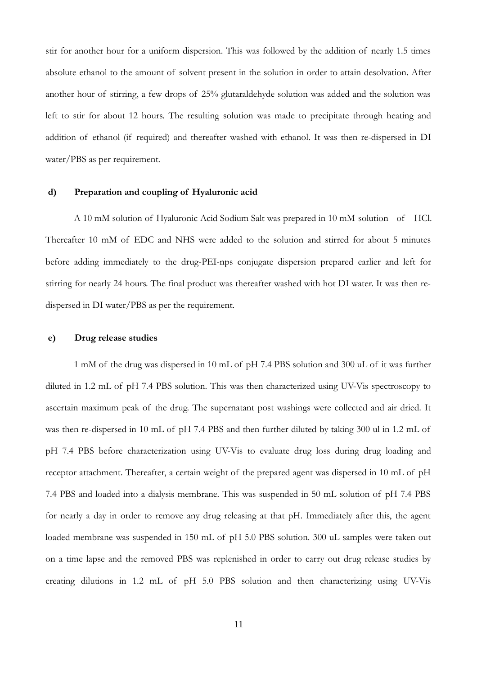stir for another hour for a uniform dispersion. This was followed by the addition of nearly 1.5 times absolute ethanol to the amount of solvent present in the solution in order to attain desolvation. After another hour of stirring, a few drops of 25% glutaraldehyde solution was added and the solution was left to stir for about 12 hours. The resulting solution was made to precipitate through heating and addition of ethanol (if required) and thereafter washed with ethanol. It was then re-dispersed in DI water/PBS as per requirement.

#### <span id="page-11-1"></span> **d) Preparation and coupling of Hyaluronic acid**

A 10 mM solution of Hyaluronic Acid Sodium Salt was prepared in 10 mM solution of HCl. Thereafter 10 mM of EDC and NHS were added to the solution and stirred for about 5 minutes before adding immediately to the drug-PEI-nps conjugate dispersion prepared earlier and left for stirring for nearly 24 hours. The final product was thereafter washed with hot DI water. It was then redispersed in DI water/PBS as per the requirement.

## <span id="page-11-0"></span> **e) Drug release studies**

1 mM of the drug was dispersed in 10 mL of pH 7.4 PBS solution and 300 uL of it was further diluted in 1.2 mL of pH 7.4 PBS solution. This was then characterized using UV-Vis spectroscopy to ascertain maximum peak of the drug. The supernatant post washings were collected and air dried. It was then re-dispersed in 10 mL of pH 7.4 PBS and then further diluted by taking 300 ul in 1.2 mL of pH 7.4 PBS before characterization using UV-Vis to evaluate drug loss during drug loading and receptor attachment. Thereafter, a certain weight of the prepared agent was dispersed in 10 mL of pH 7.4 PBS and loaded into a dialysis membrane. This was suspended in 50 mL solution of pH 7.4 PBS for nearly a day in order to remove any drug releasing at that pH. Immediately after this, the agent loaded membrane was suspended in 150 mL of pH 5.0 PBS solution. 300 uL samples were taken out on a time lapse and the removed PBS was replenished in order to carry out drug release studies by creating dilutions in 1.2 mL of pH 5.0 PBS solution and then characterizing using UV-Vis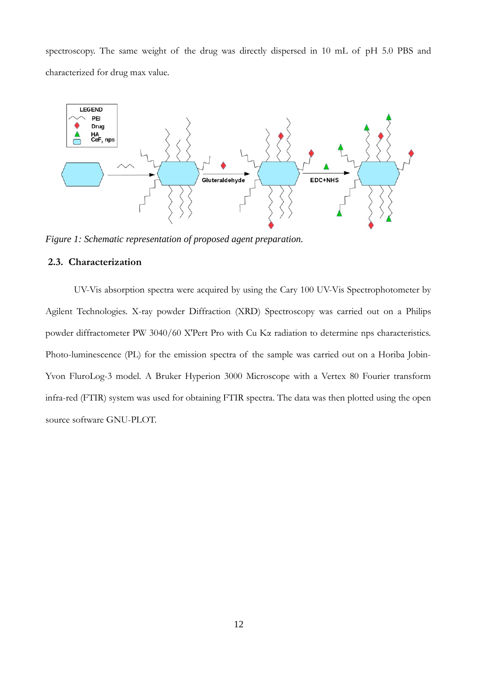spectroscopy. The same weight of the drug was directly dispersed in 10 mL of pH 5.0 PBS and characterized for drug max value.



*Figure 1: Schematic representation of proposed agent preparation.*

# <span id="page-12-0"></span> **2.3. Characterization**

UV-Vis absorption spectra were acquired by using the Cary 100 UV-Vis Spectrophotometer by Agilent Technologies. X-ray powder Diffraction (XRD) Spectroscopy was carried out on a Philips powder diffractometer PW 3040/60 X'Pert Pro with Cu Kα radiation to determine nps characteristics. Photo-luminescence (PL) for the emission spectra of the sample was carried out on a Horiba Jobin-Yvon FluroLog-3 model. A Bruker Hyperion 3000 Microscope with a Vertex 80 Fourier transform infra-red (FTIR) system was used for obtaining FTIR spectra. The data was then plotted using the open source software GNU-PLOT.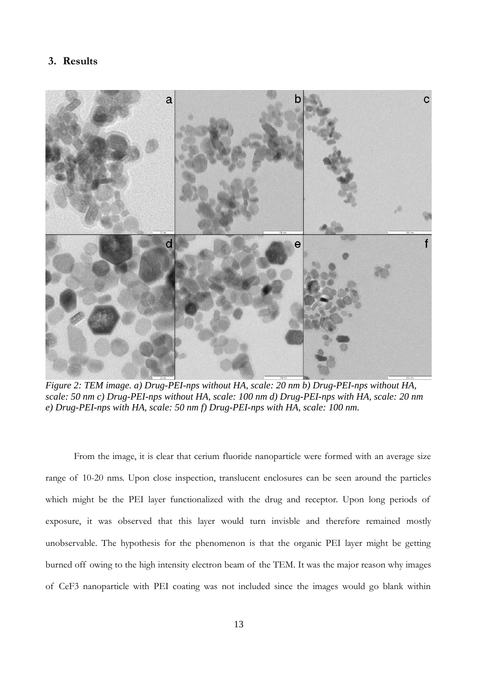# <span id="page-13-0"></span> **3. Results**



*Figure 2: TEM image. a) Drug-PEI-nps without HA, scale: 20 nm b) Drug-PEI-nps without HA, scale: 50 nm c) Drug-PEI-nps without HA, scale: 100 nm d) Drug-PEI-nps with HA, scale: 20 nm e) Drug-PEI-nps with HA, scale: 50 nm f) Drug-PEI-nps with HA, scale: 100 nm.*

From the image, it is clear that cerium fluoride nanoparticle were formed with an average size range of 10-20 nms. Upon close inspection, translucent enclosures can be seen around the particles which might be the PEI layer functionalized with the drug and receptor. Upon long periods of exposure, it was observed that this layer would turn invisble and therefore remained mostly unobservable. The hypothesis for the phenomenon is that the organic PEI layer might be getting burned off owing to the high intensity electron beam of the TEM. It was the major reason why images of CeF3 nanoparticle with PEI coating was not included since the images would go blank within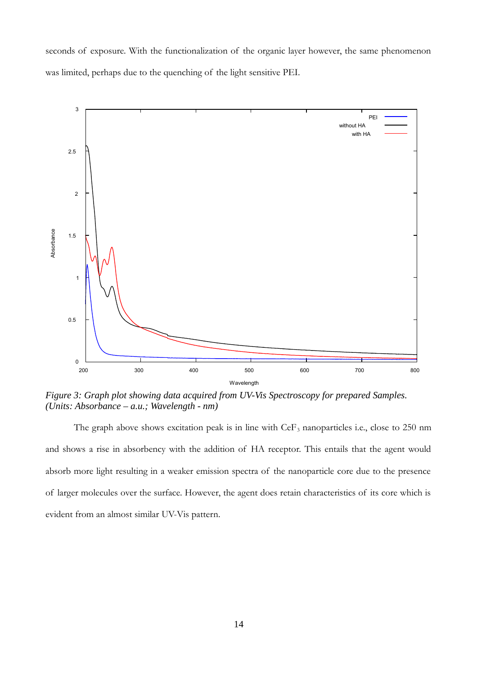seconds of exposure. With the functionalization of the organic layer however, the same phenomenon was limited, perhaps due to the quenching of the light sensitive PEI.



*Figure 3: Graph plot showing data acquired from UV-Vis Spectroscopy for prepared Samples. (Units: Absorbance – a.u.; Wavelength - nm)*

The graph above shows excitation peak is in line with  $CeF_3$  nanoparticles i.e., close to 250 nm and shows a rise in absorbency with the addition of HA receptor. This entails that the agent would absorb more light resulting in a weaker emission spectra of the nanoparticle core due to the presence of larger molecules over the surface. However, the agent does retain characteristics of its core which is evident from an almost similar UV-Vis pattern.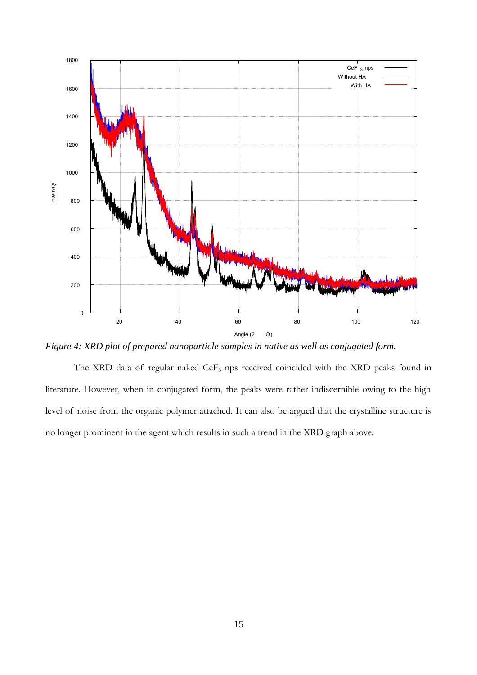

*Figure 4: XRD plot of prepared nanoparticle samples in native as well as conjugated form.* 

The XRD data of regular naked CeF<sub>3</sub> nps received coincided with the XRD peaks found in literature. However, when in conjugated form, the peaks were rather indiscernible owing to the high level of noise from the organic polymer attached. It can also be argued that the crystalline structure is no longer prominent in the agent which results in such a trend in the XRD graph above.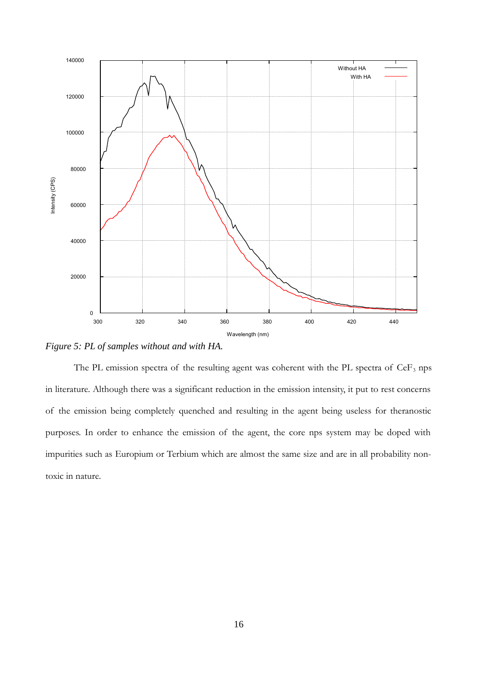

*Figure 5: PL of samples without and with HA.*

The PL emission spectra of the resulting agent was coherent with the PL spectra of  $CeF_3$  nps in literature. Although there was a significant reduction in the emission intensity, it put to rest concerns of the emission being completely quenched and resulting in the agent being useless for theranostic purposes. In order to enhance the emission of the agent, the core nps system may be doped with impurities such as Europium or Terbium which are almost the same size and are in all probability nontoxic in nature.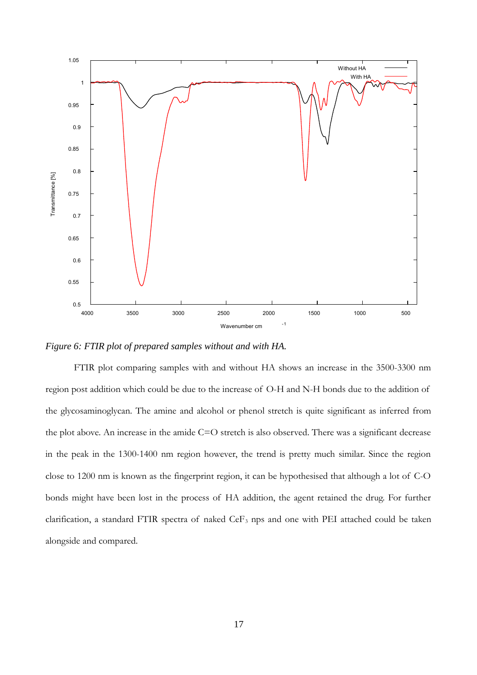

*Figure 6: FTIR plot of prepared samples without and with HA.*

FTIR plot comparing samples with and without HA shows an increase in the 3500-3300 nm region post addition which could be due to the increase of O-H and N-H bonds due to the addition of the glycosaminoglycan. The amine and alcohol or phenol stretch is quite significant as inferred from the plot above. An increase in the amide  $C=O$  stretch is also observed. There was a significant decrease in the peak in the 1300-1400 nm region however, the trend is pretty much similar. Since the region close to 1200 nm is known as the fingerprint region, it can be hypothesised that although a lot of C-O bonds might have been lost in the process of HA addition, the agent retained the drug. For further clarification, a standard FTIR spectra of naked  $CeF<sub>3</sub>$  nps and one with PEI attached could be taken alongside and compared.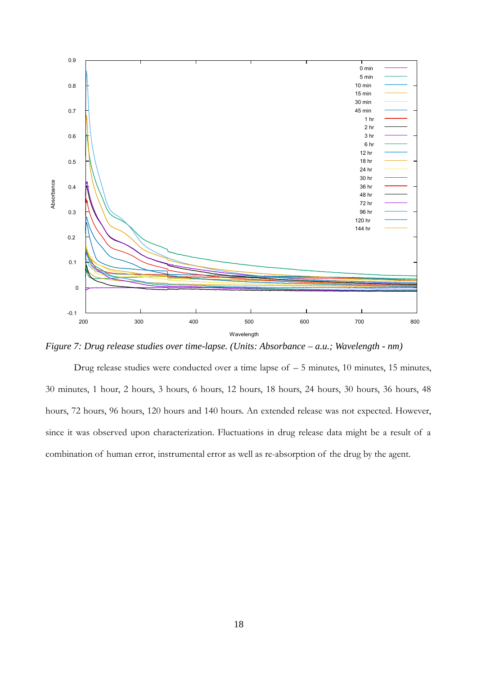

*Figure 7: Drug release studies over time-lapse. (Units: Absorbance – a.u.; Wavelength - nm)*

Drug release studies were conducted over a time lapse of  $-5$  minutes, 10 minutes, 15 minutes, 30 minutes, 1 hour, 2 hours, 3 hours, 6 hours, 12 hours, 18 hours, 24 hours, 30 hours, 36 hours, 48 hours, 72 hours, 96 hours, 120 hours and 140 hours. An extended release was not expected. However, since it was observed upon characterization. Fluctuations in drug release data might be a result of a combination of human error, instrumental error as well as re-absorption of the drug by the agent.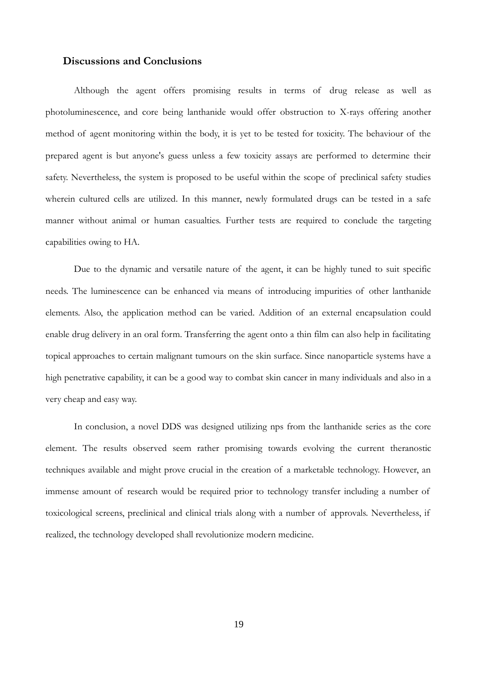# <span id="page-19-0"></span>**Discussions and Conclusions**

Although the agent offers promising results in terms of drug release as well as photoluminescence, and core being lanthanide would offer obstruction to X-rays offering another method of agent monitoring within the body, it is yet to be tested for toxicity. The behaviour of the prepared agent is but anyone's guess unless a few toxicity assays are performed to determine their safety. Nevertheless, the system is proposed to be useful within the scope of preclinical safety studies wherein cultured cells are utilized. In this manner, newly formulated drugs can be tested in a safe manner without animal or human casualties. Further tests are required to conclude the targeting capabilities owing to HA.

Due to the dynamic and versatile nature of the agent, it can be highly tuned to suit specific needs. The luminescence can be enhanced via means of introducing impurities of other lanthanide elements. Also, the application method can be varied. Addition of an external encapsulation could enable drug delivery in an oral form. Transferring the agent onto a thin film can also help in facilitating topical approaches to certain malignant tumours on the skin surface. Since nanoparticle systems have a high penetrative capability, it can be a good way to combat skin cancer in many individuals and also in a very cheap and easy way.

In conclusion, a novel DDS was designed utilizing nps from the lanthanide series as the core element. The results observed seem rather promising towards evolving the current theranostic techniques available and might prove crucial in the creation of a marketable technology. However, an immense amount of research would be required prior to technology transfer including a number of toxicological screens, preclinical and clinical trials along with a number of approvals. Nevertheless, if realized, the technology developed shall revolutionize modern medicine.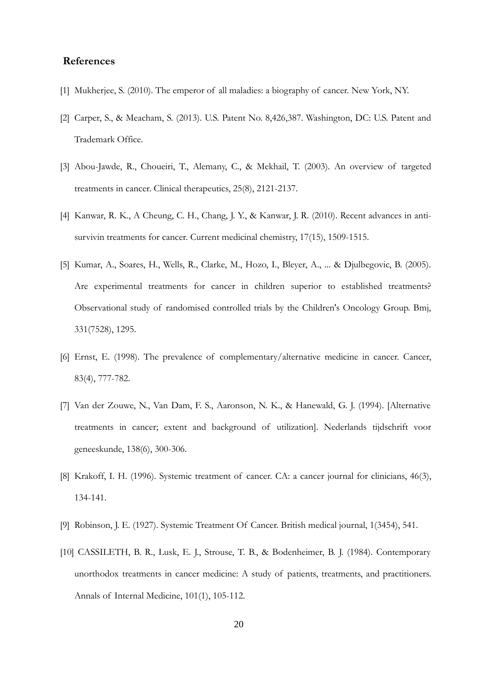# <span id="page-20-0"></span>**References**

- [1] Mukherjee, S. (2010). The emperor of all maladies: a biography of cancer. New York, NY.
- [2] Carper, S., & Meacham, S. (2013). U.S. Patent No. 8,426,387. Washington, DC: U.S. Patent and Trademark Office.
- [3] Abou-Jawde, R., Choueiri, T., Alemany, C., & Mekhail, T. (2003). An overview of targeted treatments in cancer. Clinical therapeutics, 25(8), 2121-2137.
- [4] Kanwar, R. K., A Cheung, C. H., Chang, J. Y., & Kanwar, J. R. (2010). Recent advances in antisurvivin treatments for cancer. Current medicinal chemistry, 17(15), 1509-1515.
- [5] Kumar, A., Soares, H., Wells, R., Clarke, M., Hozo, I., Bleyer, A., ... & Djulbegovic, B. (2005). Are experimental treatments for cancer in children superior to established treatments? Observational study of randomised controlled trials by the Children's Oncology Group. Bmj, 331(7528), 1295.
- [6] Ernst, E. (1998). The prevalence of complementary/alternative medicine in cancer. Cancer, 83(4), 777-782.
- [7] Van der Zouwe, N., Van Dam, F. S., Aaronson, N. K., & Hanewald, G. J. (1994). [Alternative treatments in cancer; extent and background of utilization]. Nederlands tijdschrift voor geneeskunde, 138(6), 300-306.
- [8] Krakoff, I. H. (1996). Systemic treatment of cancer. CA: a cancer journal for clinicians, 46(3), 134-141.
- [9] Robinson, J. E. (1927). Systemic Treatment Of Cancer. British medical journal, 1(3454), 541.
- [10] CASSILETH, B. R., Lusk, E. J., Strouse, T. B., & Bodenheimer, B. J. (1984). Contemporary unorthodox treatments in cancer medicine: A study of patients, treatments, and practitioners. Annals of Internal Medicine, 101(1), 105-112.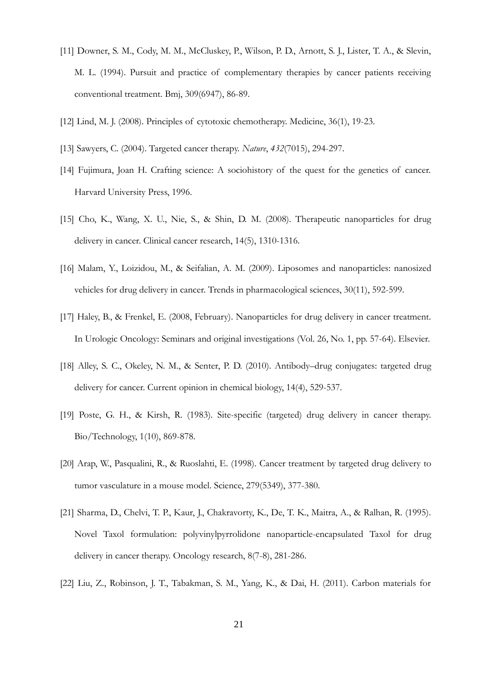- [11] Downer, S. M., Cody, M. M., McCluskey, P., Wilson, P. D., Arnott, S. J., Lister, T. A., & Slevin, M. L. (1994). Pursuit and practice of complementary therapies by cancer patients receiving conventional treatment. Bmj, 309(6947), 86-89.
- [12] Lind, M. J. (2008). Principles of cytotoxic chemotherapy. Medicine, 36(1), 19-23.
- [13] Sawyers, C. (2004). Targeted cancer therapy. *Nature*, *432*(7015), 294-297.
- [14] Fujimura, Joan H. Crafting science: A sociohistory of the quest for the genetics of cancer. Harvard University Press, 1996.
- [15] Cho, K., Wang, X. U., Nie, S., & Shin, D. M. (2008). Therapeutic nanoparticles for drug delivery in cancer. Clinical cancer research, 14(5), 1310-1316.
- [16] Malam, Y., Loizidou, M., & Seifalian, A. M. (2009). Liposomes and nanoparticles: nanosized vehicles for drug delivery in cancer. Trends in pharmacological sciences, 30(11), 592-599.
- [17] Haley, B., & Frenkel, E. (2008, February). Nanoparticles for drug delivery in cancer treatment. In Urologic Oncology: Seminars and original investigations (Vol. 26, No. 1, pp. 57-64). Elsevier.
- [18] Alley, S. C., Okeley, N. M., & Senter, P. D. (2010). Antibody–drug conjugates: targeted drug delivery for cancer. Current opinion in chemical biology, 14(4), 529-537.
- [19] Poste, G. H., & Kirsh, R. (1983). Site-specific (targeted) drug delivery in cancer therapy. Bio/Technology, 1(10), 869-878.
- [20] Arap, W., Pasqualini, R., & Ruoslahti, E. (1998). Cancer treatment by targeted drug delivery to tumor vasculature in a mouse model. Science, 279(5349), 377-380.
- [21] Sharma, D., Chelvi, T. P., Kaur, J., Chakravorty, K., De, T. K., Maitra, A., & Ralhan, R. (1995). Novel Taxol formulation: polyvinylpyrrolidone nanoparticle-encapsulated Taxol for drug delivery in cancer therapy. Oncology research, 8(7-8), 281-286.
- [22] Liu, Z., Robinson, J. T., Tabakman, S. M., Yang, K., & Dai, H. (2011). Carbon materials for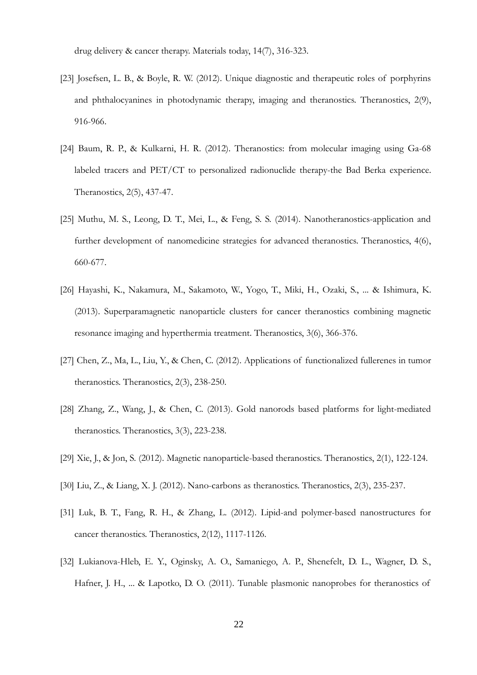drug delivery & cancer therapy. Materials today, 14(7), 316-323.

- [23] Josefsen, L. B., & Boyle, R. W. (2012). Unique diagnostic and therapeutic roles of porphyrins and phthalocyanines in photodynamic therapy, imaging and theranostics. Theranostics, 2(9), 916-966.
- [24] Baum, R. P., & Kulkarni, H. R. (2012). Theranostics: from molecular imaging using Ga-68 labeled tracers and PET/CT to personalized radionuclide therapy-the Bad Berka experience. Theranostics, 2(5), 437-47.
- [25] Muthu, M. S., Leong, D. T., Mei, L., & Feng, S. S. (2014). Nanotheranostics-application and further development of nanomedicine strategies for advanced theranostics. Theranostics, 4(6), 660-677.
- [26] Hayashi, K., Nakamura, M., Sakamoto, W., Yogo, T., Miki, H., Ozaki, S., ... & Ishimura, K. (2013). Superparamagnetic nanoparticle clusters for cancer theranostics combining magnetic resonance imaging and hyperthermia treatment. Theranostics, 3(6), 366-376.
- [27] Chen, Z., Ma, L., Liu, Y., & Chen, C. (2012). Applications of functionalized fullerenes in tumor theranostics. Theranostics, 2(3), 238-250.
- [28] Zhang, Z., Wang, J., & Chen, C. (2013). Gold nanorods based platforms for light-mediated theranostics. Theranostics, 3(3), 223-238.
- [29] Xie, J., & Jon, S. (2012). Magnetic nanoparticle-based theranostics. Theranostics, 2(1), 122-124.
- [30] Liu, Z., & Liang, X. J. (2012). Nano-carbons as theranostics. Theranostics, 2(3), 235-237.
- [31] Luk, B. T., Fang, R. H., & Zhang, L. (2012). Lipid-and polymer-based nanostructures for cancer theranostics. Theranostics, 2(12), 1117-1126.
- [32] Lukianova-Hleb, E. Y., Oginsky, A. O., Samaniego, A. P., Shenefelt, D. L., Wagner, D. S., Hafner, J. H., ... & Lapotko, D. O. (2011). Tunable plasmonic nanoprobes for theranostics of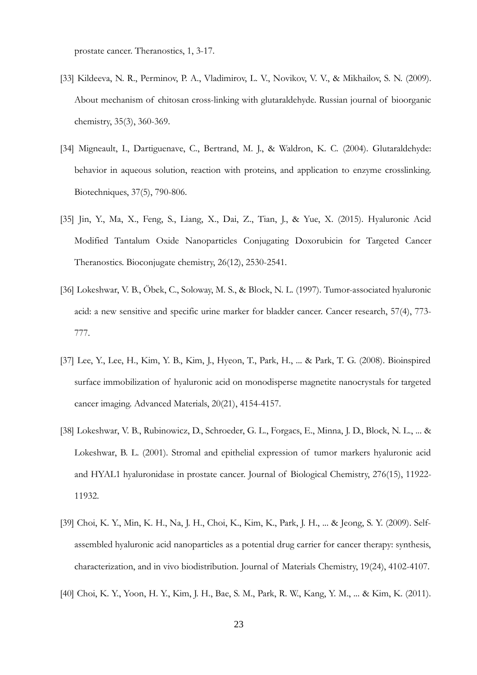prostate cancer. Theranostics, 1, 3-17.

- [33] Kildeeva, N. R., Perminov, P. A., Vladimirov, L. V., Novikov, V. V., & Mikhailov, S. N. (2009). About mechanism of chitosan cross-linking with glutaraldehyde. Russian journal of bioorganic chemistry, 35(3), 360-369.
- [34] Migneault, I., Dartiguenave, C., Bertrand, M. J., & Waldron, K. C. (2004). Glutaraldehyde: behavior in aqueous solution, reaction with proteins, and application to enzyme crosslinking. Biotechniques, 37(5), 790-806.
- [35] Jin, Y., Ma, X., Feng, S., Liang, X., Dai, Z., Tian, J., & Yue, X. (2015). Hyaluronic Acid Modified Tantalum Oxide Nanoparticles Conjugating Doxorubicin for Targeted Cancer Theranostics. Bioconjugate chemistry, 26(12), 2530-2541.
- [36] Lokeshwar, V. B., Öbek, C., Soloway, M. S., & Block, N. L. (1997). Tumor-associated hyaluronic acid: a new sensitive and specific urine marker for bladder cancer. Cancer research, 57(4), 773- 777.
- [37] Lee, Y., Lee, H., Kim, Y. B., Kim, J., Hyeon, T., Park, H., ... & Park, T. G. (2008). Bioinspired surface immobilization of hyaluronic acid on monodisperse magnetite nanocrystals for targeted cancer imaging. Advanced Materials, 20(21), 4154-4157.
- [38] Lokeshwar, V. B., Rubinowicz, D., Schroeder, G. L., Forgacs, E., Minna, J. D., Block, N. L., ... & Lokeshwar, B. L. (2001). Stromal and epithelial expression of tumor markers hyaluronic acid and HYAL1 hyaluronidase in prostate cancer. Journal of Biological Chemistry, 276(15), 11922- 11932.
- [39] Choi, K. Y., Min, K. H., Na, J. H., Choi, K., Kim, K., Park, J. H., ... & Jeong, S. Y. (2009). Selfassembled hyaluronic acid nanoparticles as a potential drug carrier for cancer therapy: synthesis, characterization, and in vivo biodistribution. Journal of Materials Chemistry, 19(24), 4102-4107.
- [40] Choi, K. Y., Yoon, H. Y., Kim, J. H., Bae, S. M., Park, R. W., Kang, Y. M., ... & Kim, K. (2011).